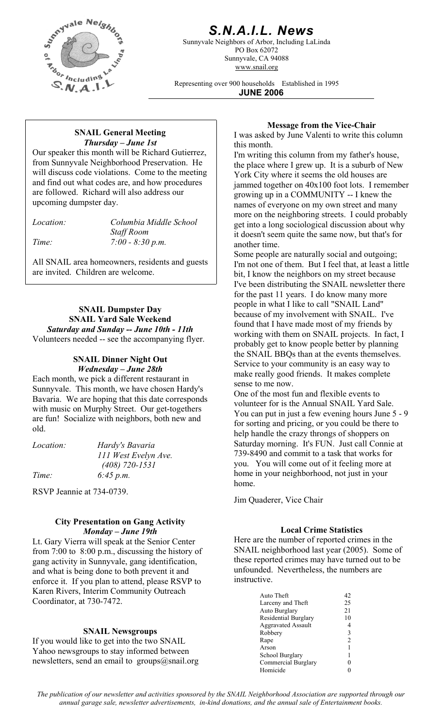

## *S.N.A.I.L. News*

Sunnyvale Neighbors of Arbor, Including LaLinda PO Box 62072 Sunnyvale, CA 94088 www.snail.org

Representing over 900 households Established in 1995 **JUNE 2006**

# *Thursday – June 1st* this month.

Our speaker this month will be Richard Gutierrez, from Sunnyvale Neighborhood Preservation. He will discuss code violations. Come to the meeting and find out what codes are, and how procedures are followed. Richard will also address our upcoming dumpster day.

*Location: Columbia Middle School* 

 *Staff Room Time: 7:00 - 8:30 p.m.* 

All SNAIL area homeowners, residents and guests are invited. Children are welcome.

### **SNAIL Dumpster Day SNAIL Yard Sale Weekend**  *Saturday and Sunday -- June 10th - 11th*  Volunteers needed -- see the accompanying flyer.

# **SNAIL Dinner Night Out**

Each month, we pick a different restaurant in Sunnyvale. This month, we have chosen Hardy's Bavaria. We are hoping that this date corresponds with music on Murphy Street. Our get-togethers are fun! Socialize with neighbors, both new and old.

| <i>Location:</i> | Hardy's Bavaria      |
|------------------|----------------------|
|                  | 111 West Evelyn Ave. |
|                  | $(408)$ 720-1531     |
| Time:            | 6:45 p.m.            |

RSVP Jeannie at 734-0739.

### **City Presentation on Gang Activity**  *Monday – June 19th* **Local Crime Statistics**

Lt. Gary Vierra will speak at the Senior Center from 7:00 to 8:00 p.m., discussing the history of gang activity in Sunnyvale, gang identification, and what is being done to both prevent it and enforce it. If you plan to attend, please RSVP to Karen Rivers, Interim Community Outreach Coordinator, at 730-7472.

### **SNAIL Newsgroups**

If you would like to get into the two SNAIL Yahoo newsgroups to stay informed between newsletters, send an email to groups@snail.org

**Message from the Vice-Chair**<br>I was asked by June Valenti to write this column<br>I was asked by June Valenti to write this column

I'm writing this column from my father's house, the place where I grew up. It is a suburb of New York City where it seems the old houses are jammed together on 40x100 foot lots. I remember growing up in a COMMUNITY -- I knew the names of everyone on my own street and many more on the neighboring streets. I could probably get into a long sociological discussion about why it doesn't seem quite the same now, but that's for another time.

Some people are naturally social and outgoing; I'm not one of them. But I feel that, at least a little bit, I know the neighbors on my street because I've been distributing the SNAIL newsletter there for the past 11 years. I do know many more people in what I like to call "SNAIL Land" because of my involvement with SNAIL. I've found that I have made most of my friends by working with them on SNAIL projects. In fact, I probably get to know people better by planning the SNAIL BBQs than at the events themselves. *Wednesday – June 28th* Service to your community is an easy way to Wednesday – June 28th make really good friends. It makes complete sense to me now.

> One of the most fun and flexible events to volunteer for is the Annual SNAIL Yard Sale. You can put in just a few evening hours June 5 - 9 for sorting and pricing, or you could be there to help handle the crazy throngs of shoppers on Saturday morning. It's FUN. Just call Connie at 739-8490 and commit to a task that works for you. You will come out of it feeling more at home in your neighborhood, not just in your home.

Jim Quaderer, Vice Chair

Here are the number of reported crimes in the SNAIL neighborhood last year (2005). Some of these reported crimes may have turned out to be unfounded. Nevertheless, the numbers are instructive.

| Auto Theft                | 42             |
|---------------------------|----------------|
| Larceny and Theft         | 25             |
| Auto Burglary             | 21             |
| Residential Burglary      | 10             |
| <b>Aggravated Assault</b> | 4              |
| Robbery                   | 3              |
| Rape                      | $\mathfrak{D}$ |
| Arson                     |                |
| School Burglary           |                |
| Commercial Burglary       |                |
| Homicide                  |                |

*The publication of our newsletter and activities sponsored by the SNAIL Neighborhood Association are supported through our annual garage sale, newsletter advertisements, in-kind donations, and the annual sale of Entertainment books.*